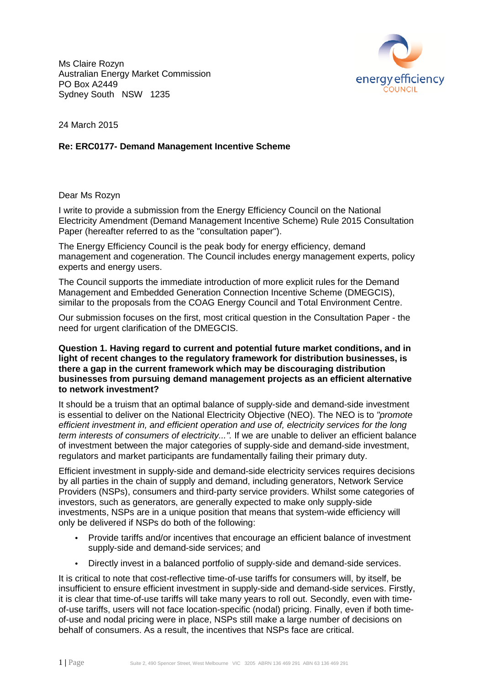Ms Claire Rozyn Australian Energy Market Commission PO Box A2449 Sydney South NSW 1235



24 March 2015

# **Re: ERC0177- Demand Management Management Incentive Scheme**

Dear Ms Rozyn

I write to provide a submission from the Energy Efficiency Council on the National Electricity Amendment (Demand (Demand Management Incentive Scheme) Rule 2015 2015 Consultation Paper (hereafter referred to as the "consultation paper").

The Energy Efficiency Council is the peak body for energy efficiency, demand management and cogeneration. The Council includes energy management experts, policy experts and energy users.

The Council supports the immediate introduction of more explicit rules for the Demand Management and Embedded Generation Connection Incentive Scheme (DMEGCIS), similar to the proposals from the COAG Energy Council and Total Environment Centre.

Our submission focuses on the first, most critical question in the Consultation Paper - the need for urgent clarification of the DMEGCIS.

#### Question 1. Having regard to current and potential future market conditions, and in light of recent changes to the regulatory framework for distribution businesses, is **there a gap in the current framework framework which may be discouraging distribution** businesses from pursuing demand management projects as an efficient alternative **to network investment?**

It should be a truism that an optimal balance of supply-side and demand-side investment is essential to deliver on the National Electricity Objective (NEO). The NEO is to "promote efficient investment in, and efficient operation and use of, electricity services for the long term interests of consumers of electricity...". If we are unable to deliver an efficient balance of investment between the major categories of supply-side and demand-side investment, regulators and market participants are fundamentally failing their primary duty.

Efficient investment in supply-side and demand-side electricity services requires decisions by all parties in the chain of supply and demand, including generators, Network Service Providers (NSPs), consumers and third-party service providers. Whilst some categories of investors, such as generators, are generally expected to make only supply-side investments, NSPs are in a unique position that means that system-wide efficiency will only be delivered if NSPs do both of the following:

- Provide tariffs and/or incentives that encourage an efficient balance of investment supply-side and demand demand-side services; and
- Directly invest in a balanced portfolio of supply-side and demand-side services.

It is critical to note that cost-reflective time-of-use tariffs for consumers will, by itself, be insufficient to ensure efficient investment in supply-side and demand-side services. Firstly, it is clear that time-of-use tariffs will take many years to roll out. Secondly, even with timeof-use tariffs, users will not face location-specific (nodal) pricing. Finally, even if both timeof-use and nodal pricing were in place, NSPs still make a large number of decisions on behalf of consumers. As a result, the incentives that NSPs face are critical.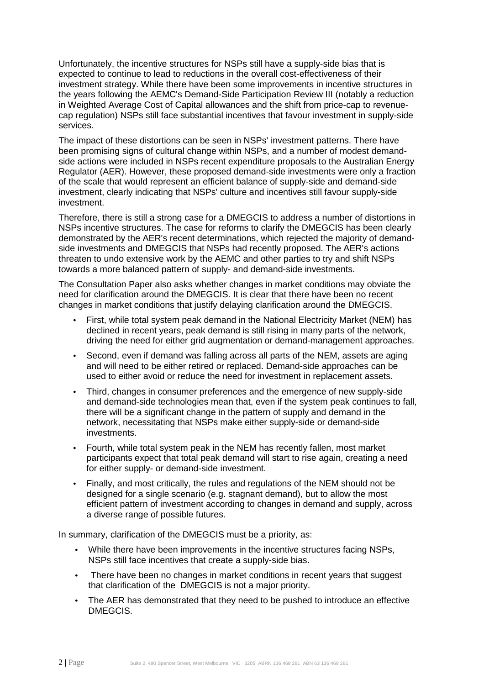Unfortunately, the incentive structures for NSPs still have a supply-side bias that is expected to continue to lead to reductions in the overall cost-effectiveness of their investment strategy. While there have been some improvements in incentive structures in the years following the AEMC's Demand-Side Participation Review III (notably a reduction in Weighted Average Cost of Capital allowances and the shift from price-cap to revenuecap regulation) NSPs still face substantial incentives that favour investment in supply-side services.

The impact of these distortions can be seen in NSPs' investment patterns. There have been promising signs of cultural change within NSPs, and a number of modest demandside actions were included in NSPs recent expenditure proposals to the Australian Energy Regulator (AER). However, these proposed demand-side investments were only a fraction of the scale that would represent an efficient balance of supply-side and demand-side investment, clearly indicating that NSPs' culture and incentives still favour supply-side investment.

Therefore, there is still a strong case for a DMEGCIS to address a number of distortions in NSPs incentive structures. The case for reforms to clarify the DMEGCIS has been clearly demonstrated by the AER's recent determinations, which rejected the majority of demandside investments and DMEGCIS that NSPs had recently proposed. The AER's actions threaten to undo extensive work by the AEMC and other parties to try and shift NSPs towards a more balanced pattern of supply- and demand-side investments.

The Consultation Paper also asks whether changes in market conditions may obviate the need for clarification around the DMEGCIS. It is clear that there have been no recent changes in market conditions that justify delaying clarification around the DMEGCIS.

- First, while total system peak demand in the National Electricity Market (NEM) has declined in recent years, peak demand is still rising in many parts of the network, driving the need for either grid augmentation or demand-management approaches.
- Second, even if demand was falling across all parts of the NEM, assets are aging and will need to be either retired or replaced. Demand-side approaches can be used to either avoid or reduce the need for investment in replacement assets.
- Third, changes in consumer preferences and the emergence of new supply-side and demand-side technologies mean that, even if the system peak continues to fall, there will be a significant change in the pattern of supply and demand in the network, necessitating that NSPs make either supply-side or demand-side investments.
- Fourth, while total system peak in the NEM has recently fallen, most market participants expect that total peak demand will start to rise again, creating a need for either supply- or demand-side investment.
- Finally, and most critically, the rules and regulations of the NEM should not be designed for a single scenario (e.g. stagnant demand), but to allow the most efficient pattern of investment according to changes in demand and supply, across a diverse range of possible futures.

In summary, clarification of the DMEGCIS must be a priority, as:

- While there have been improvements in the incentive structures facing NSPs, NSPs still face incentives that create a supply-side bias.
- There have been no changes in market conditions in recent years that suggest that clarification of the DMEGCIS is not a major priority.
- The AER has demonstrated that they need to be pushed to introduce an effective DMEGCIS.